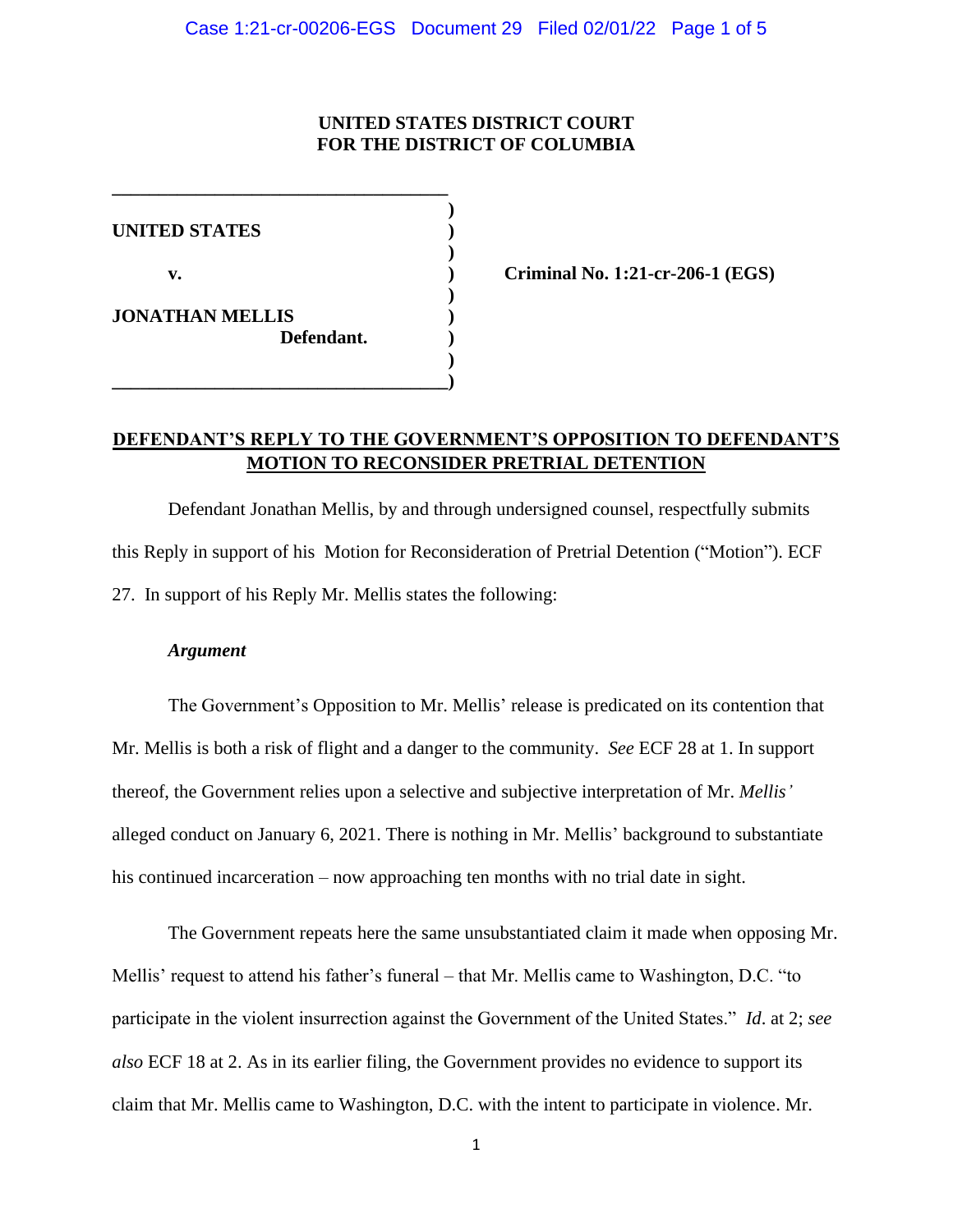## **UNITED STATES DISTRICT COURT FOR THE DISTRICT OF COLUMBIA**

**) UNITED STATES ) ) v. ) Criminal No. 1:21-cr-206-1 (EGS) ) JONATHAN MELLIS ) Defendant. ) ) \_\_\_\_\_\_\_\_\_\_\_\_\_\_\_\_\_\_\_\_\_\_\_\_\_\_\_\_\_\_\_\_\_\_\_\_)**

**\_\_\_\_\_\_\_\_\_\_\_\_\_\_\_\_\_\_\_\_\_\_\_\_\_\_\_\_\_\_\_\_\_\_\_\_**

# **DEFENDANT'S REPLY TO THE GOVERNMENT'S OPPOSITION TO DEFENDANT'S MOTION TO RECONSIDER PRETRIAL DETENTION**

Defendant Jonathan Mellis, by and through undersigned counsel, respectfully submits this Reply in support of his Motion for Reconsideration of Pretrial Detention ("Motion"). ECF 27. In support of his Reply Mr. Mellis states the following:

#### *Argument*

The Government's Opposition to Mr. Mellis' release is predicated on its contention that Mr. Mellis is both a risk of flight and a danger to the community. *See* ECF 28 at 1. In support thereof, the Government relies upon a selective and subjective interpretation of Mr. *Mellis'* alleged conduct on January 6, 2021. There is nothing in Mr. Mellis' background to substantiate his continued incarceration – now approaching ten months with no trial date in sight.

The Government repeats here the same unsubstantiated claim it made when opposing Mr. Mellis' request to attend his father's funeral – that Mr. Mellis came to Washington, D.C. "to participate in the violent insurrection against the Government of the United States." *Id*. at 2; *see also* ECF 18 at 2. As in its earlier filing, the Government provides no evidence to support its claim that Mr. Mellis came to Washington, D.C. with the intent to participate in violence. Mr.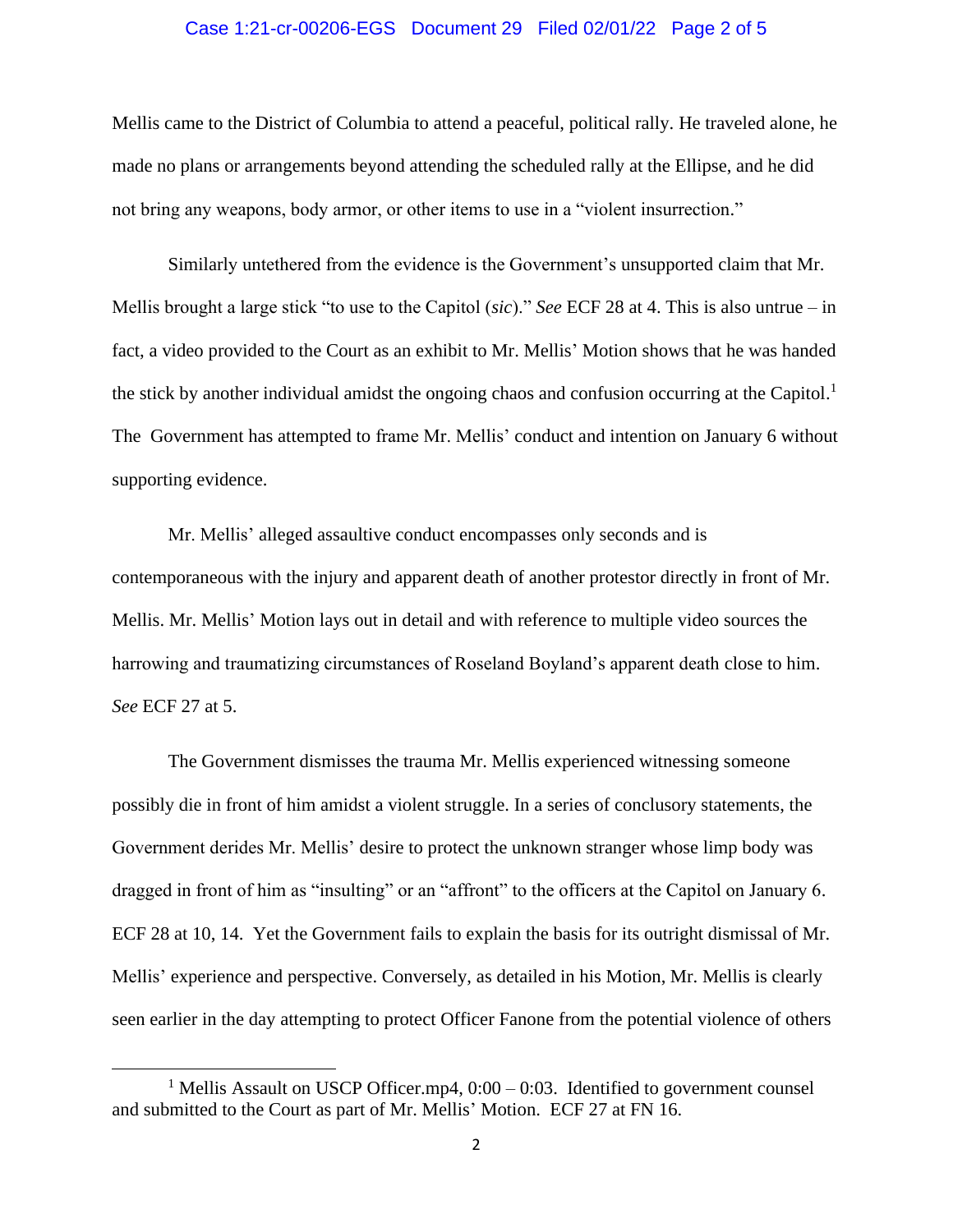#### Case 1:21-cr-00206-EGS Document 29 Filed 02/01/22 Page 2 of 5

Mellis came to the District of Columbia to attend a peaceful, political rally. He traveled alone, he made no plans or arrangements beyond attending the scheduled rally at the Ellipse, and he did not bring any weapons, body armor, or other items to use in a "violent insurrection."

Similarly untethered from the evidence is the Government's unsupported claim that Mr. Mellis brought a large stick "to use to the Capitol (*sic*)." *See* ECF 28 at 4. This is also untrue – in fact, a video provided to the Court as an exhibit to Mr. Mellis' Motion shows that he was handed the stick by another individual amidst the ongoing chaos and confusion occurring at the Capitol.<sup>1</sup> The Government has attempted to frame Mr. Mellis' conduct and intention on January 6 without supporting evidence.

Mr. Mellis' alleged assaultive conduct encompasses only seconds and is contemporaneous with the injury and apparent death of another protestor directly in front of Mr. Mellis. Mr. Mellis' Motion lays out in detail and with reference to multiple video sources the harrowing and traumatizing circumstances of Roseland Boyland's apparent death close to him. *See* ECF 27 at 5.

The Government dismisses the trauma Mr. Mellis experienced witnessing someone possibly die in front of him amidst a violent struggle. In a series of conclusory statements, the Government derides Mr. Mellis' desire to protect the unknown stranger whose limp body was dragged in front of him as "insulting" or an "affront" to the officers at the Capitol on January 6. ECF 28 at 10, 14. Yet the Government fails to explain the basis for its outright dismissal of Mr. Mellis' experience and perspective. Conversely, as detailed in his Motion, Mr. Mellis is clearly seen earlier in the day attempting to protect Officer Fanone from the potential violence of others

<sup>&</sup>lt;sup>1</sup> Mellis Assault on USCP Officer.mp4,  $0:00 - 0:03$ . Identified to government counsel and submitted to the Court as part of Mr. Mellis' Motion. ECF 27 at FN 16.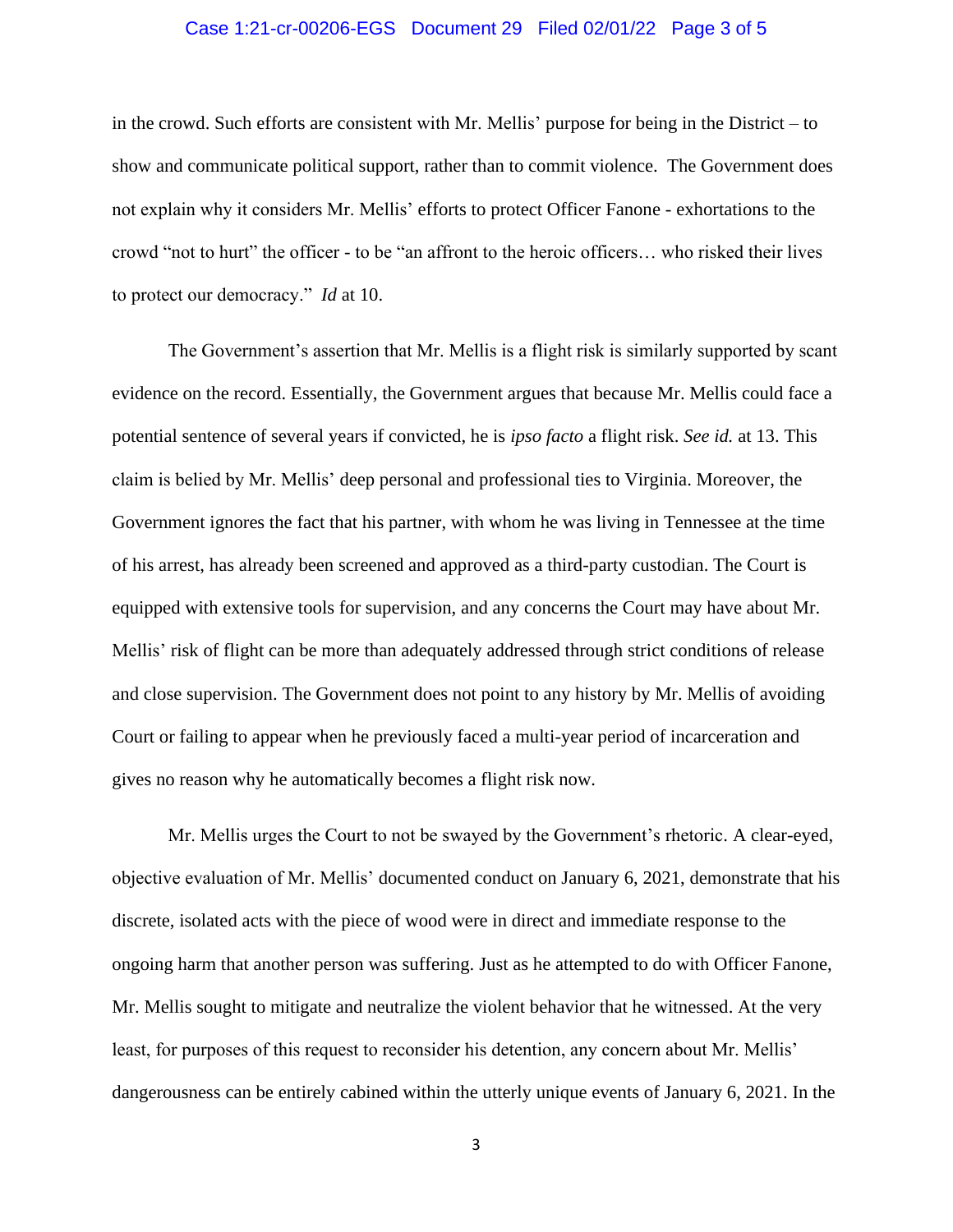#### Case 1:21-cr-00206-EGS Document 29 Filed 02/01/22 Page 3 of 5

in the crowd. Such efforts are consistent with Mr. Mellis' purpose for being in the District – to show and communicate political support, rather than to commit violence. The Government does not explain why it considers Mr. Mellis' efforts to protect Officer Fanone - exhortations to the crowd "not to hurt" the officer - to be "an affront to the heroic officers… who risked their lives to protect our democracy." *Id* at 10.

The Government's assertion that Mr. Mellis is a flight risk is similarly supported by scant evidence on the record. Essentially, the Government argues that because Mr. Mellis could face a potential sentence of several years if convicted, he is *ipso facto* a flight risk. *See id.* at 13. This claim is belied by Mr. Mellis' deep personal and professional ties to Virginia. Moreover, the Government ignores the fact that his partner, with whom he was living in Tennessee at the time of his arrest, has already been screened and approved as a third-party custodian. The Court is equipped with extensive tools for supervision, and any concerns the Court may have about Mr. Mellis' risk of flight can be more than adequately addressed through strict conditions of release and close supervision. The Government does not point to any history by Mr. Mellis of avoiding Court or failing to appear when he previously faced a multi-year period of incarceration and gives no reason why he automatically becomes a flight risk now.

Mr. Mellis urges the Court to not be swayed by the Government's rhetoric. A clear-eyed, objective evaluation of Mr. Mellis' documented conduct on January 6, 2021, demonstrate that his discrete, isolated acts with the piece of wood were in direct and immediate response to the ongoing harm that another person was suffering. Just as he attempted to do with Officer Fanone, Mr. Mellis sought to mitigate and neutralize the violent behavior that he witnessed. At the very least, for purposes of this request to reconsider his detention, any concern about Mr. Mellis' dangerousness can be entirely cabined within the utterly unique events of January 6, 2021. In the

3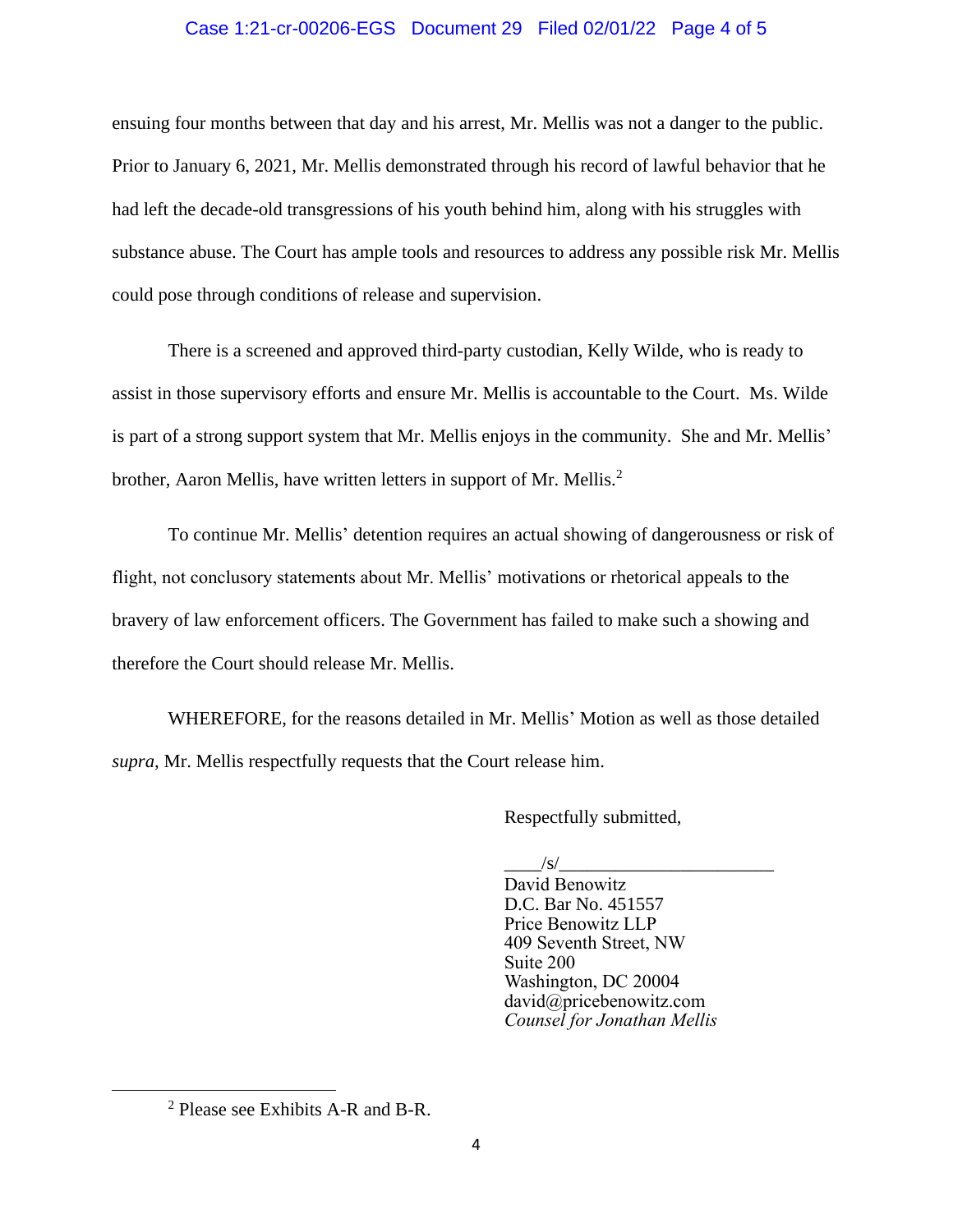### Case 1:21-cr-00206-EGS Document 29 Filed 02/01/22 Page 4 of 5

ensuing four months between that day and his arrest, Mr. Mellis was not a danger to the public. Prior to January 6, 2021, Mr. Mellis demonstrated through his record of lawful behavior that he had left the decade-old transgressions of his youth behind him, along with his struggles with substance abuse. The Court has ample tools and resources to address any possible risk Mr. Mellis could pose through conditions of release and supervision.

There is a screened and approved third-party custodian, Kelly Wilde, who is ready to assist in those supervisory efforts and ensure Mr. Mellis is accountable to the Court. Ms. Wilde is part of a strong support system that Mr. Mellis enjoys in the community. She and Mr. Mellis' brother, Aaron Mellis, have written letters in support of Mr. Mellis.<sup>2</sup>

To continue Mr. Mellis' detention requires an actual showing of dangerousness or risk of flight, not conclusory statements about Mr. Mellis' motivations or rhetorical appeals to the bravery of law enforcement officers. The Government has failed to make such a showing and therefore the Court should release Mr. Mellis.

WHEREFORE, for the reasons detailed in Mr. Mellis' Motion as well as those detailed *supra*, Mr. Mellis respectfully requests that the Court release him.

Respectfully submitted,

 $/s/$ 

David Benowitz D.C. Bar No. 451557 Price Benowitz LLP 409 Seventh Street, NW Suite 200 Washington, DC 20004 david@pricebenowitz.com *Counsel for Jonathan Mellis*

<sup>2</sup> Please see Exhibits A-R and B-R.